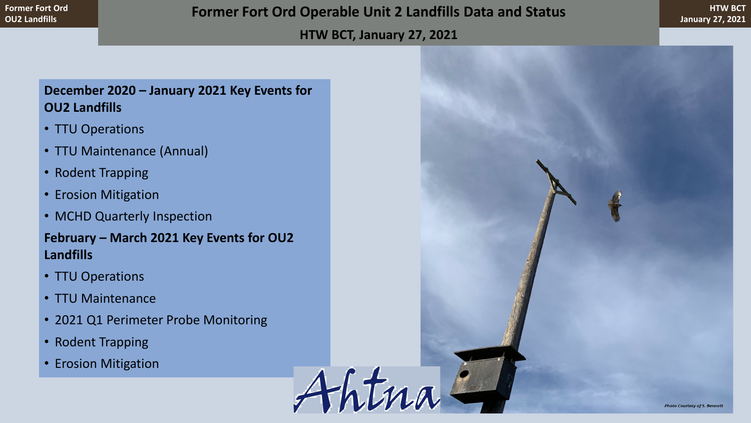#### **HTW BCT, January 27, 2021**

Ahtna

## **December 2020 – January 2021 Key Events for OU2 Landfills**

- TTU Operations
- TTU Maintenance (Annual)
- Rodent Trapping
- Erosion Mitigation
- MCHD Quarterly Inspection

**February – March 2021 Key Events for OU2 Landfills**

- TTU Operations
- TTU Maintenance
- 2021 Q1 Perimeter Probe Monitoring
- Rodent Trapping
- Erosion Mitigation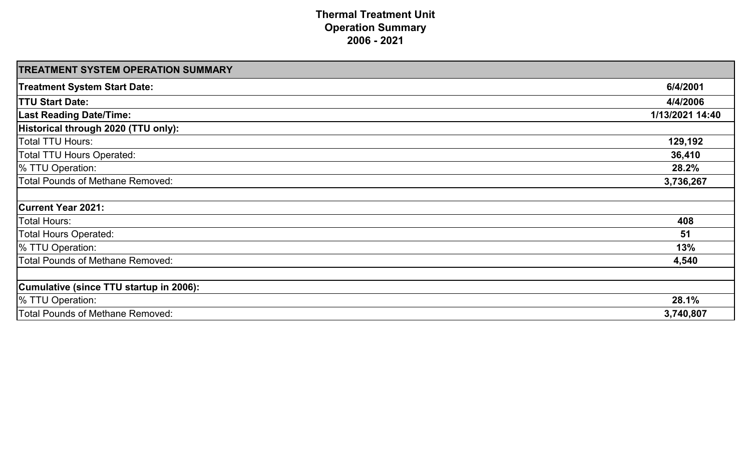**Thermal Treatment Unit Operation Summary 2006 - 2021**

### **TREATMENT SYSTEM OPERATION SUMMARY**

| <b>TREATMENT SYSTEM OPERATION SUMMARY</b>      |                 |
|------------------------------------------------|-----------------|
| <b>Treatment System Start Date:</b>            | 6/4/2001        |
| <b>TTU Start Date:</b>                         | 4/4/2006        |
| <b>Last Reading Date/Time:</b>                 | 1/13/2021 14:40 |
| Historical through 2020 (TTU only):            |                 |
| Total TTU Hours:                               | 129,192         |
| <b>Total TTU Hours Operated:</b>               | 36,410          |
| % TTU Operation:                               | 28.2%           |
| <b>Total Pounds of Methane Removed:</b>        | 3,736,267       |
|                                                |                 |
| <b>Current Year 2021:</b>                      |                 |
| <b>Total Hours:</b>                            | 408             |
| <b>Total Hours Operated:</b>                   | 51              |
| % TTU Operation:                               | 13%             |
| <b>Total Pounds of Methane Removed:</b>        | 4,540           |
|                                                |                 |
| <b>Cumulative (since TTU startup in 2006):</b> |                 |
| % TTU Operation:                               | 28.1%           |
| <b>Total Pounds of Methane Removed:</b>        | 3,740,807       |

## **Current Year 2021:**

### **Cumulative (since TTU startup in 2006):**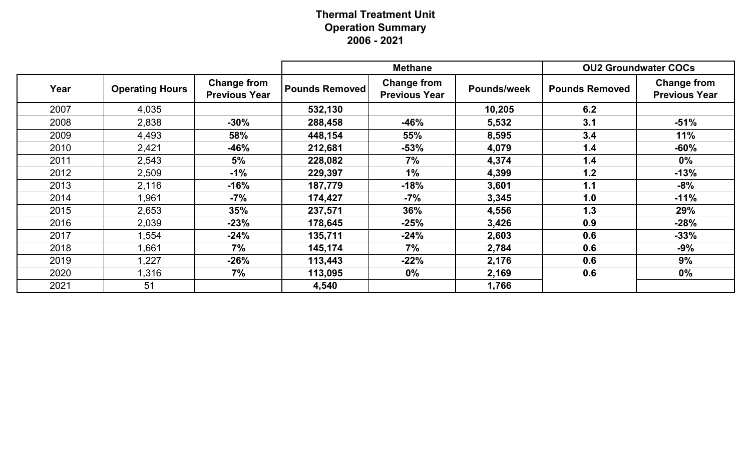# **Thermal Treatment Unit Operation Summary 2006 - 2021**

|      |                        |                                            | <b>Methane</b>        |                                            |                    | <b>OU2 Groundwater COCs</b> |                                            |
|------|------------------------|--------------------------------------------|-----------------------|--------------------------------------------|--------------------|-----------------------------|--------------------------------------------|
| Year | <b>Operating Hours</b> | <b>Change from</b><br><b>Previous Year</b> | <b>Pounds Removed</b> | <b>Change from</b><br><b>Previous Year</b> | <b>Pounds/week</b> | <b>Pounds Removed</b>       | <b>Change from</b><br><b>Previous Year</b> |
| 2007 | 4,035                  |                                            | 532,130               |                                            | 10,205             | 6.2                         |                                            |
| 2008 | 2,838                  | $-30%$                                     | 288,458               | $-46%$                                     | 5,532              | 3.1                         | $-51%$                                     |
| 2009 | 4,493                  | 58%                                        | 448,154               | <b>55%</b>                                 | 8,595              | 3.4                         | 11%                                        |
| 2010 | 2,421                  | $-46%$                                     | 212,681               | $-53%$                                     | 4,079              | 1.4                         | $-60%$                                     |
| 2011 | 2,543                  | 5%                                         | 228,082               | 7%                                         | 4,374              | 1.4                         | $0\%$                                      |
| 2012 | 2,509                  | $-1\%$                                     | 229,397               | $1\%$                                      | 4,399              | 1.2                         | $-13%$                                     |
| 2013 | 2,116                  | $-16%$                                     | 187,779               | $-18%$                                     | 3,601              | 1.1                         | $-8%$                                      |
| 2014 | ,961                   | -7%                                        | 174,427               | $-7\%$                                     | 3,345              | 1.0                         | $-11%$                                     |
| 2015 | 2,653                  | 35%                                        | 237,571               | 36%                                        | 4,556              | 1.3                         | 29%                                        |
| 2016 | 2,039                  | $-23%$                                     | 178,645               | $-25%$                                     | 3,426              | 0.9                         | $-28%$                                     |
| 2017 | ,554                   | $-24%$                                     | 135,711               | $-24%$                                     | 2,603              | 0.6                         | $-33%$                                     |
| 2018 | ,661                   | 7%                                         | 145,174               | 7%                                         | 2,784              | 0.6                         | $-9%$                                      |
| 2019 | 1,227                  | $-26\%$                                    | 113,443               | $-22%$                                     | 2,176              | 0.6                         | 9%                                         |
| 2020 | .316                   | 7%                                         | 113,095               | $0\%$                                      | 2,169              | 0.6                         | $0\%$                                      |
| 2021 | 51                     |                                            | 4,540                 |                                            | 1,766              |                             |                                            |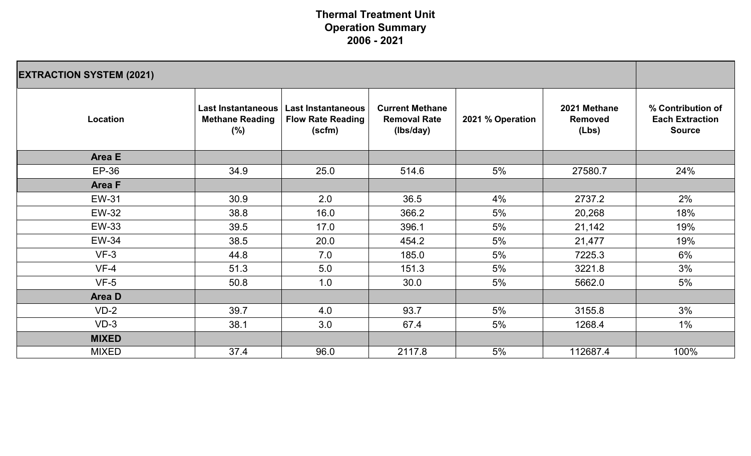# **Thermal Treatment Unit Operation Summary 2006 - 2021**

| <b>EXTRACTION SYSTEM (2021)</b> |                                                                       |                                                          |                                                            |                  |                                         |                                                              |
|---------------------------------|-----------------------------------------------------------------------|----------------------------------------------------------|------------------------------------------------------------|------------------|-----------------------------------------|--------------------------------------------------------------|
| <b>Location</b>                 | <b>Last Instantaneous</b><br><b>Methane Reading</b><br>$\binom{0}{0}$ | Last Instantaneous<br><b>Flow Rate Reading</b><br>(scfm) | <b>Current Methane</b><br><b>Removal Rate</b><br>(Ibs/day) | 2021 % Operation | 2021 Methane<br><b>Removed</b><br>(Lbs) | % Contribution of<br><b>Each Extraction</b><br><b>Source</b> |
| <b>Area E</b>                   |                                                                       |                                                          |                                                            |                  |                                         |                                                              |
| EP-36                           | 34.9                                                                  | 25.0                                                     | 514.6                                                      | 5%               | 27580.7                                 | 24%                                                          |
| <b>Area F</b>                   |                                                                       |                                                          |                                                            |                  |                                         |                                                              |
| <b>EW-31</b>                    | 30.9                                                                  | 2.0                                                      | 36.5                                                       | $4\%$            | 2737.2                                  | 2%                                                           |
| <b>EW-32</b>                    | 38.8                                                                  | 16.0                                                     | 366.2                                                      | 5%               | 20,268                                  | 18%                                                          |
| <b>EW-33</b>                    | 39.5                                                                  | 17.0                                                     | 396.1                                                      | 5%               | 21,142                                  | 19%                                                          |
| <b>EW-34</b>                    | 38.5                                                                  | 20.0                                                     | 454.2                                                      | 5%               | 21,477                                  | 19%                                                          |
| $VF-3$                          | 44.8                                                                  | 7.0                                                      | 185.0                                                      | 5%               | 7225.3                                  | 6%                                                           |
| $VF-4$                          | 51.3                                                                  | 5.0                                                      | 151.3                                                      | 5%               | 3221.8                                  | 3%                                                           |
| $VF-5$                          | 50.8                                                                  | 1.0                                                      | 30.0                                                       | 5%               | 5662.0                                  | 5%                                                           |
| Area D                          |                                                                       |                                                          |                                                            |                  |                                         |                                                              |
| $VD-2$                          | 39.7                                                                  | 4.0                                                      | 93.7                                                       | 5%               | 3155.8                                  | 3%                                                           |
| $VD-3$                          | 38.1                                                                  | 3.0                                                      | 67.4                                                       | 5%               | 1268.4                                  | $1\%$                                                        |
| <b>MIXED</b>                    |                                                                       |                                                          |                                                            |                  |                                         |                                                              |
| MIXED                           | 37.4                                                                  | 96.0                                                     | 2117.8                                                     | 5%               | 112687.4                                | 100%                                                         |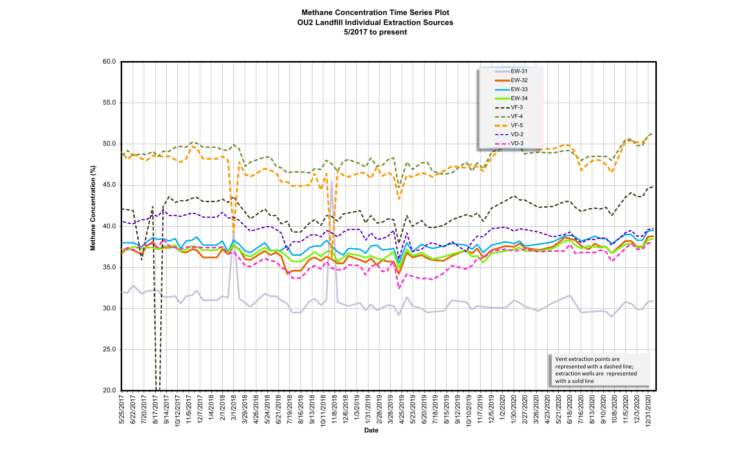#### **Methane Concentration Time Series Plot OU2 Landfill Individual Extraction Sources 5/2017 to present**

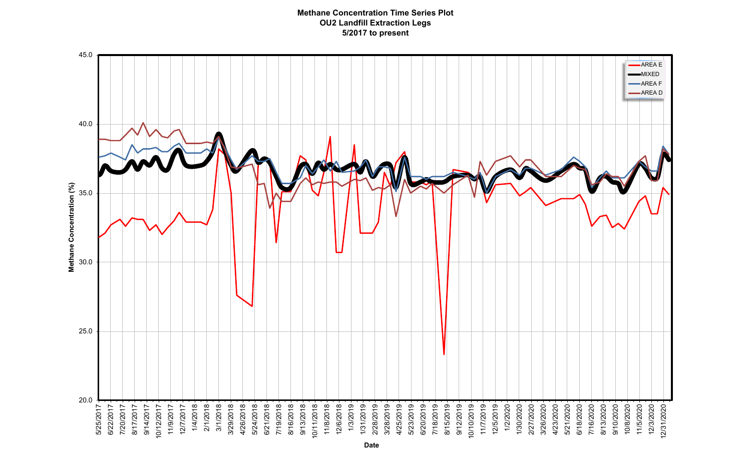#### **Methane Concentration Time Series Plot OU2 Landfill Extraction Legs 5/2017 to present**